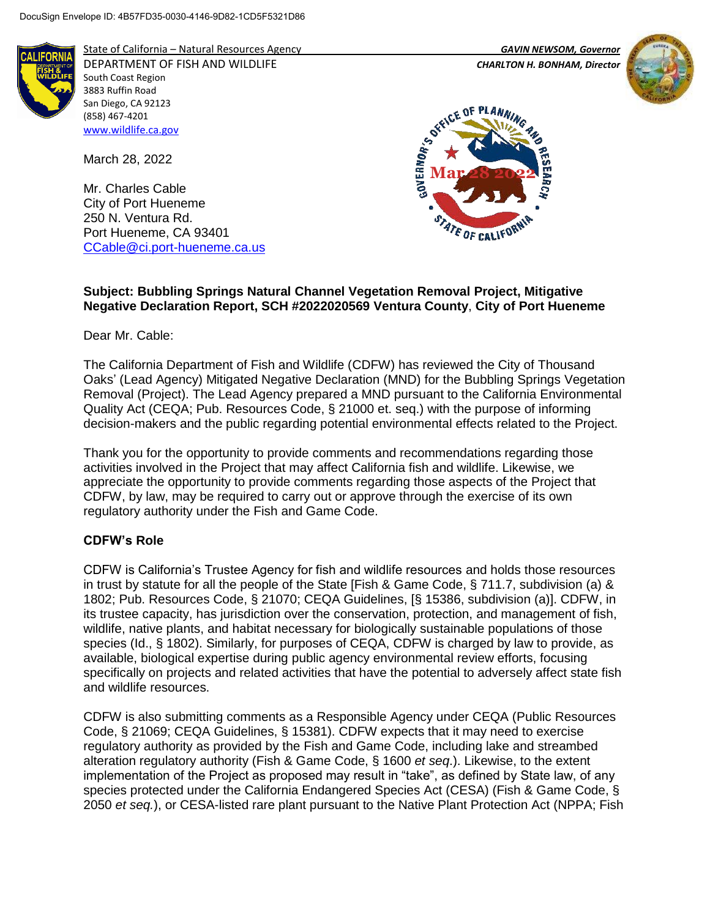

State of California – Natural Resources Agency *GAVIN NEWSOM, Governor* DEPARTMENT OF FISH AND WILDLIFE *CHARLTON H. BONHAM, Director*  South Coast Region 3883 Ruffin Road San Diego, CA 92123 (858) 467-4201 [www.wildlife.ca.gov](http://www.wildlife.ca.gov/)

March 28, 2022

Mr. Charles Cable City of Port Hueneme 250 N. Ventura Rd. Port Hueneme, CA 93401 [CCable@ci.port-hueneme.ca.us](mailto:CCable@ci.port-hueneme.ca.us)





## **Subject: Bubbling Springs Natural Channel Vegetation Removal Project, Mitigative Negative Declaration Report, SCH #2022020569 Ventura County**, **City of Port Hueneme**

Dear Mr. Cable:

The California Department of Fish and Wildlife (CDFW) has reviewed the City of Thousand Oaks' (Lead Agency) Mitigated Negative Declaration (MND) for the Bubbling Springs Vegetation Removal (Project). The Lead Agency prepared a MND pursuant to the California Environmental Quality Act (CEQA; Pub. Resources Code, § 21000 et. seq.) with the purpose of informing decision-makers and the public regarding potential environmental effects related to the Project.

Thank you for the opportunity to provide comments and recommendations regarding those activities involved in the Project that may affect California fish and wildlife. Likewise, we appreciate the opportunity to provide comments regarding those aspects of the Project that CDFW, by law, may be required to carry out or approve through the exercise of its own regulatory authority under the Fish and Game Code.

# **CDFW's Role**

CDFW is California's Trustee Agency for fish and wildlife resources and holds those resources in trust by statute for all the people of the State [Fish & Game Code, § 711.7, subdivision (a) & 1802; Pub. Resources Code, § 21070; CEQA Guidelines, [§ 15386, subdivision (a)]. CDFW, in its trustee capacity, has jurisdiction over the conservation, protection, and management of fish, wildlife, native plants, and habitat necessary for biologically sustainable populations of those species (Id., § 1802). Similarly, for purposes of CEQA, CDFW is charged by law to provide, as available, biological expertise during public agency environmental review efforts, focusing specifically on projects and related activities that have the potential to adversely affect state fish and wildlife resources.

CDFW is also submitting comments as a Responsible Agency under CEQA (Public Resources Code, § 21069; CEQA Guidelines, § 15381). CDFW expects that it may need to exercise regulatory authority as provided by the Fish and Game Code, including lake and streambed alteration regulatory authority (Fish & Game Code, § 1600 *et seq*.). Likewise, to the extent implementation of the Project as proposed may result in "take", as defined by State law, of any species protected under the California Endangered Species Act (CESA) (Fish & Game Code, § 2050 *et seq.*), or CESA-listed rare plant pursuant to the Native Plant Protection Act (NPPA; Fish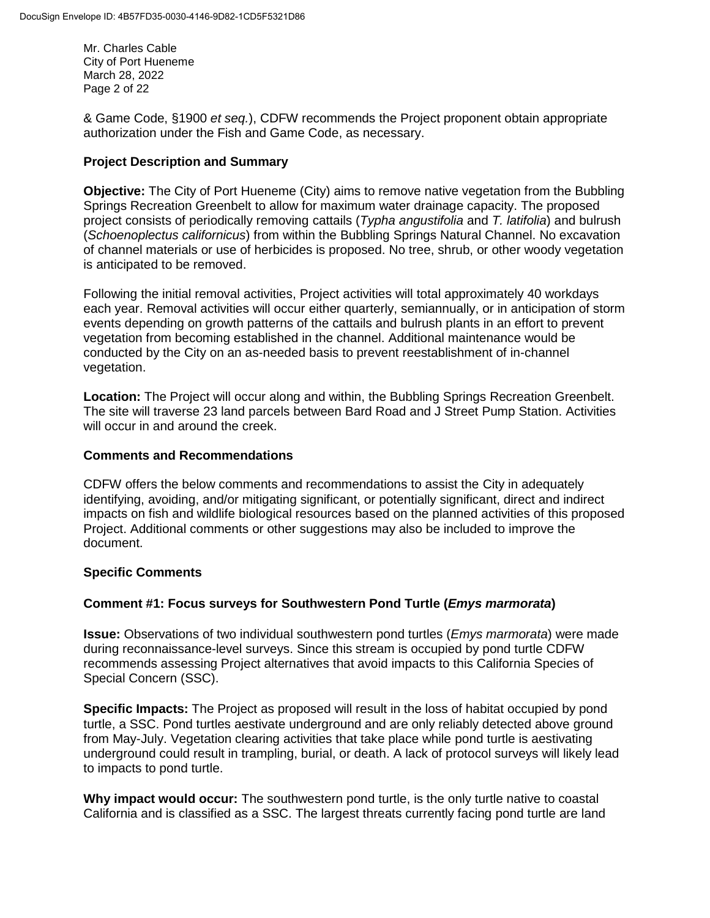Mr. Charles Cable City of Port Hueneme March 28, 2022 Page 2 of 22

& Game Code, §1900 *et seq.*), CDFW recommends the Project proponent obtain appropriate authorization under the Fish and Game Code, as necessary.

# **Project Description and Summary**

**Objective:** The City of Port Hueneme (City) aims to remove native vegetation from the Bubbling Springs Recreation Greenbelt to allow for maximum water drainage capacity. The proposed project consists of periodically removing cattails (*Typha angustifolia* and *T. latifolia*) and bulrush (*Schoenoplectus californicus*) from within the Bubbling Springs Natural Channel. No excavation of channel materials or use of herbicides is proposed. No tree, shrub, or other woody vegetation is anticipated to be removed.

Following the initial removal activities, Project activities will total approximately 40 workdays each year. Removal activities will occur either quarterly, semiannually, or in anticipation of storm events depending on growth patterns of the cattails and bulrush plants in an effort to prevent vegetation from becoming established in the channel. Additional maintenance would be conducted by the City on an as-needed basis to prevent reestablishment of in-channel vegetation.

**Location:** The Project will occur along and within, the Bubbling Springs Recreation Greenbelt. The site will traverse 23 land parcels between Bard Road and J Street Pump Station. Activities will occur in and around the creek.

# **Comments and Recommendations**

CDFW offers the below comments and recommendations to assist the City in adequately identifying, avoiding, and/or mitigating significant, or potentially significant, direct and indirect impacts on fish and wildlife biological resources based on the planned activities of this proposed Project. Additional comments or other suggestions may also be included to improve the document.

# **Specific Comments**

# **Comment #1: Focus surveys for Southwestern Pond Turtle (***Emys marmorata***)**

**Issue:** Observations of two individual southwestern pond turtles (*Emys marmorata*) were made during reconnaissance-level surveys. Since this stream is occupied by pond turtle CDFW recommends assessing Project alternatives that avoid impacts to this California Species of Special Concern (SSC).

**Specific Impacts:** The Project as proposed will result in the loss of habitat occupied by pond turtle, a SSC. Pond turtles aestivate underground and are only reliably detected above ground from May-July. Vegetation clearing activities that take place while pond turtle is aestivating underground could result in trampling, burial, or death. A lack of protocol surveys will likely lead to impacts to pond turtle.

**Why impact would occur:** The southwestern pond turtle, is the only turtle native to coastal California and is classified as a SSC. The largest threats currently facing pond turtle are land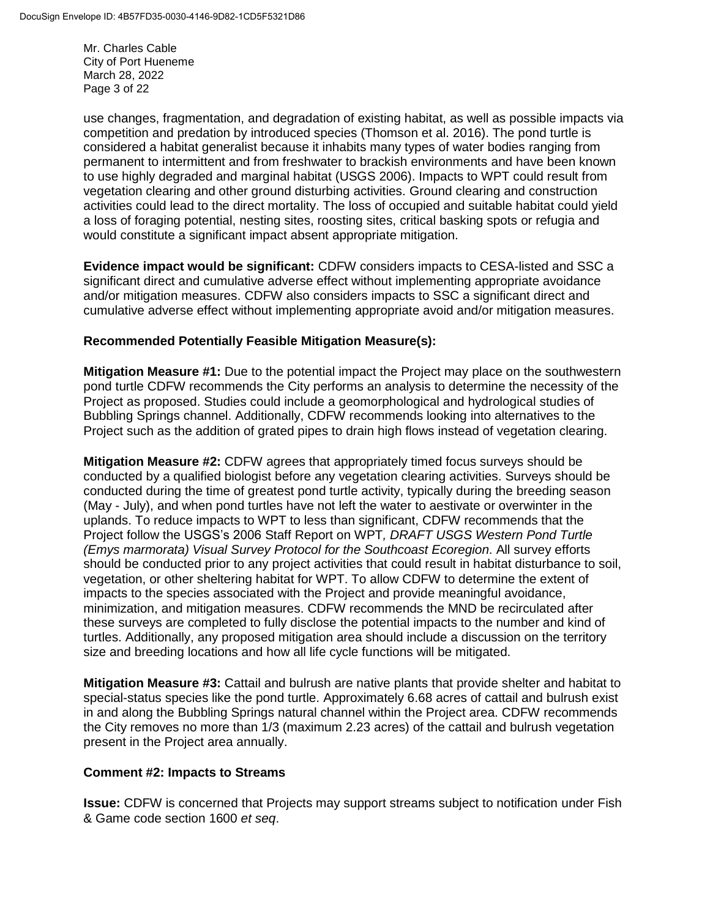Mr. Charles Cable City of Port Hueneme March 28, 2022 Page 3 of 22

use changes, fragmentation, and degradation of existing habitat, as well as possible impacts via competition and predation by introduced species (Thomson et al. 2016). The pond turtle is considered a habitat generalist because it inhabits many types of water bodies ranging from permanent to intermittent and from freshwater to brackish environments and have been known to use highly degraded and marginal habitat (USGS 2006). Impacts to WPT could result from vegetation clearing and other ground disturbing activities. Ground clearing and construction activities could lead to the direct mortality. The loss of occupied and suitable habitat could yield a loss of foraging potential, nesting sites, roosting sites, critical basking spots or refugia and would constitute a significant impact absent appropriate mitigation.

**Evidence impact would be significant:** CDFW considers impacts to CESA-listed and SSC a significant direct and cumulative adverse effect without implementing appropriate avoidance and/or mitigation measures. CDFW also considers impacts to SSC a significant direct and cumulative adverse effect without implementing appropriate avoid and/or mitigation measures.

### **Recommended Potentially Feasible Mitigation Measure(s):**

**Mitigation Measure #1:** Due to the potential impact the Project may place on the southwestern pond turtle CDFW recommends the City performs an analysis to determine the necessity of the Project as proposed. Studies could include a geomorphological and hydrological studies of Bubbling Springs channel. Additionally, CDFW recommends looking into alternatives to the Project such as the addition of grated pipes to drain high flows instead of vegetation clearing.

**Mitigation Measure #2:** CDFW agrees that appropriately timed focus surveys should be conducted by a qualified biologist before any vegetation clearing activities. Surveys should be conducted during the time of greatest pond turtle activity, typically during the breeding season (May - July), and when pond turtles have not left the water to aestivate or overwinter in the uplands. To reduce impacts to WPT to less than significant, CDFW recommends that the Project follow the USGS's 2006 Staff Report on WPT*, DRAFT USGS Western Pond Turtle (Emys marmorata) Visual Survey Protocol for the Southcoast Ecoregion*. All survey efforts should be conducted prior to any project activities that could result in habitat disturbance to soil, vegetation, or other sheltering habitat for WPT. To allow CDFW to determine the extent of impacts to the species associated with the Project and provide meaningful avoidance, minimization, and mitigation measures. CDFW recommends the MND be recirculated after these surveys are completed to fully disclose the potential impacts to the number and kind of turtles. Additionally, any proposed mitigation area should include a discussion on the territory size and breeding locations and how all life cycle functions will be mitigated.

**Mitigation Measure #3:** Cattail and bulrush are native plants that provide shelter and habitat to special-status species like the pond turtle. Approximately 6.68 acres of cattail and bulrush exist in and along the Bubbling Springs natural channel within the Project area. CDFW recommends the City removes no more than 1/3 (maximum 2.23 acres) of the cattail and bulrush vegetation present in the Project area annually.

#### **Comment #2: Impacts to Streams**

**Issue:** CDFW is concerned that Projects may support streams subject to notification under Fish & Game code section 1600 *et seq*.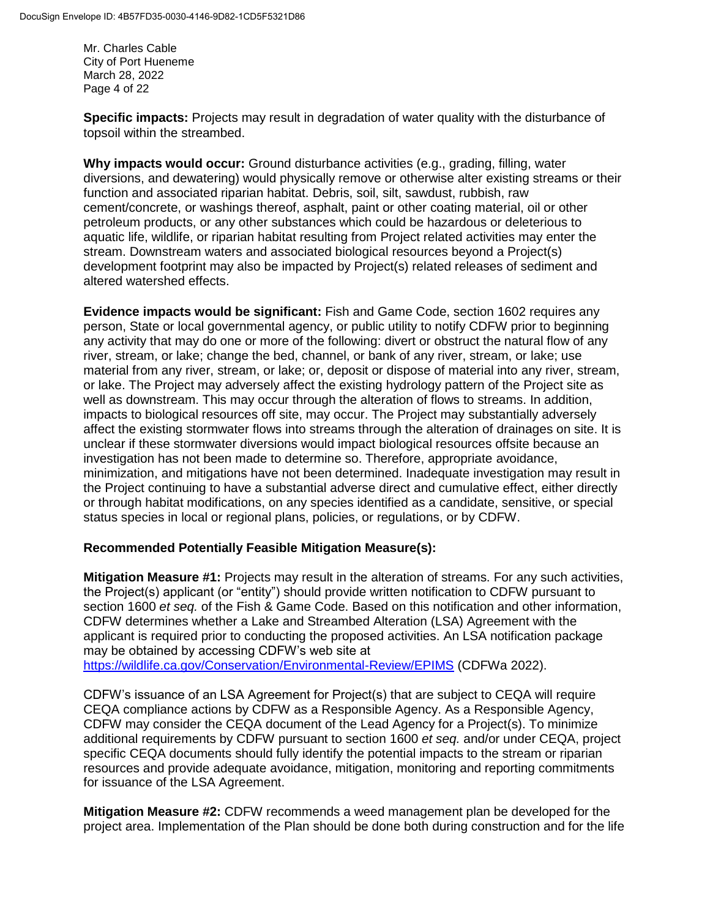Mr. Charles Cable City of Port Hueneme March 28, 2022 Page 4 of 22

**Specific impacts:** Projects may result in degradation of water quality with the disturbance of topsoil within the streambed.

**Why impacts would occur:** Ground disturbance activities (e.g., grading, filling, water diversions, and dewatering) would physically remove or otherwise alter existing streams or their function and associated riparian habitat. Debris, soil, silt, sawdust, rubbish, raw cement/concrete, or washings thereof, asphalt, paint or other coating material, oil or other petroleum products, or any other substances which could be hazardous or deleterious to aquatic life, wildlife, or riparian habitat resulting from Project related activities may enter the stream. Downstream waters and associated biological resources beyond a Project(s) development footprint may also be impacted by Project(s) related releases of sediment and altered watershed effects.

**Evidence impacts would be significant:** Fish and Game Code, section 1602 requires any person, State or local governmental agency, or public utility to notify CDFW prior to beginning any activity that may do one or more of the following: divert or obstruct the natural flow of any river, stream, or lake; change the bed, channel, or bank of any river, stream, or lake; use material from any river, stream, or lake; or, deposit or dispose of material into any river, stream, or lake. The Project may adversely affect the existing hydrology pattern of the Project site as well as downstream. This may occur through the alteration of flows to streams. In addition, impacts to biological resources off site, may occur. The Project may substantially adversely affect the existing stormwater flows into streams through the alteration of drainages on site. It is unclear if these stormwater diversions would impact biological resources offsite because an investigation has not been made to determine so. Therefore, appropriate avoidance, minimization, and mitigations have not been determined. Inadequate investigation may result in the Project continuing to have a substantial adverse direct and cumulative effect, either directly or through habitat modifications, on any species identified as a candidate, sensitive, or special status species in local or regional plans, policies, or regulations, or by CDFW.

# **Recommended Potentially Feasible Mitigation Measure(s):**

**Mitigation Measure #1:** Projects may result in the alteration of streams. For any such activities, the Project(s) applicant (or "entity") should provide written notification to CDFW pursuant to section 1600 *et seq.* of the Fish & Game Code. Based on this notification and other information, CDFW determines whether a Lake and Streambed Alteration (LSA) Agreement with the applicant is required prior to conducting the proposed activities. An LSA notification package may be obtained by accessing CDFW's web site at <https://wildlife.ca.gov/Conservation/Environmental-Review/EPIMS> (CDFWa 2022).

CDFW's issuance of an LSA Agreement for Project(s) that are subject to CEQA will require CEQA compliance actions by CDFW as a Responsible Agency. As a Responsible Agency, CDFW may consider the CEQA document of the Lead Agency for a Project(s). To minimize additional requirements by CDFW pursuant to section 1600 *et seq.* and/or under CEQA, project specific CEQA documents should fully identify the potential impacts to the stream or riparian resources and provide adequate avoidance, mitigation, monitoring and reporting commitments for issuance of the LSA Agreement.

**Mitigation Measure #2:** CDFW recommends a weed management plan be developed for the project area. Implementation of the Plan should be done both during construction and for the life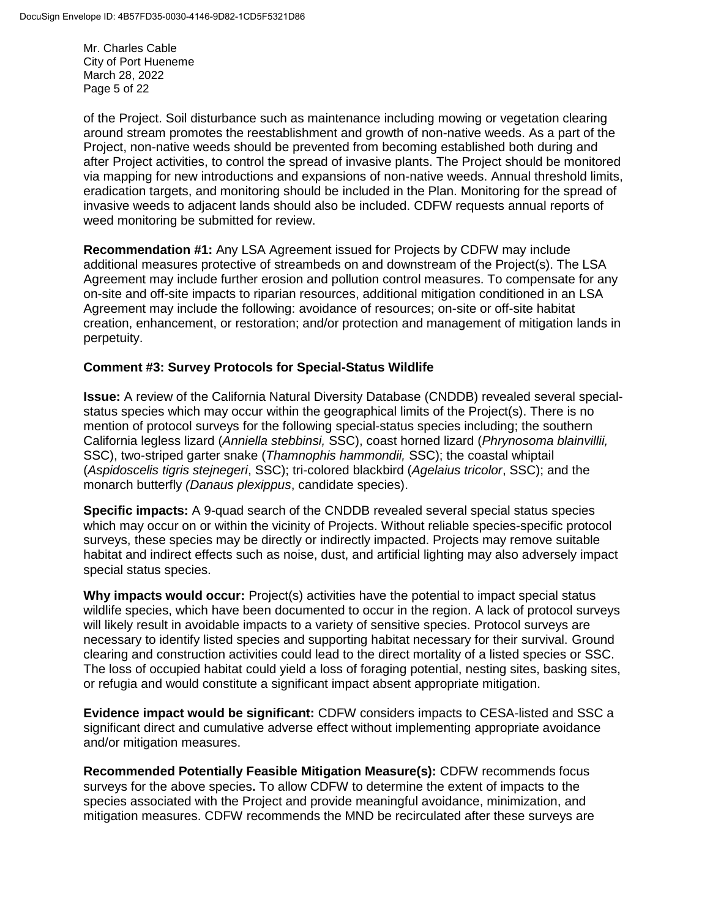Mr. Charles Cable City of Port Hueneme March 28, 2022 Page 5 of 22

of the Project. Soil disturbance such as maintenance including mowing or vegetation clearing around stream promotes the reestablishment and growth of non-native weeds. As a part of the Project, non-native weeds should be prevented from becoming established both during and after Project activities, to control the spread of invasive plants. The Project should be monitored via mapping for new introductions and expansions of non-native weeds. Annual threshold limits, eradication targets, and monitoring should be included in the Plan. Monitoring for the spread of invasive weeds to adjacent lands should also be included. CDFW requests annual reports of weed monitoring be submitted for review.

**Recommendation #1:** Any LSA Agreement issued for Projects by CDFW may include additional measures protective of streambeds on and downstream of the Project(s). The LSA Agreement may include further erosion and pollution control measures. To compensate for any on-site and off-site impacts to riparian resources, additional mitigation conditioned in an LSA Agreement may include the following: avoidance of resources; on-site or off-site habitat creation, enhancement, or restoration; and/or protection and management of mitigation lands in perpetuity.

# **Comment #3: Survey Protocols for Special-Status Wildlife**

**Issue:** A review of the California Natural Diversity Database (CNDDB) revealed several specialstatus species which may occur within the geographical limits of the Project(s). There is no mention of protocol surveys for the following special-status species including; the southern California legless lizard (*Anniella stebbinsi,* SSC), coast horned lizard (*Phrynosoma blainvillii,*  SSC), two-striped garter snake (*Thamnophis hammondii,* SSC); the coastal whiptail (*Aspidoscelis tigris stejnegeri*, SSC); tri-colored blackbird (*Agelaius tricolor*, SSC); and the monarch butterfly *(Danaus plexippus*, candidate species).

**Specific impacts:** A 9-quad search of the CNDDB revealed several special status species which may occur on or within the vicinity of Projects. Without reliable species-specific protocol surveys, these species may be directly or indirectly impacted. Projects may remove suitable habitat and indirect effects such as noise, dust, and artificial lighting may also adversely impact special status species.

**Why impacts would occur:** Project(s) activities have the potential to impact special status wildlife species, which have been documented to occur in the region. A lack of protocol surveys will likely result in avoidable impacts to a variety of sensitive species. Protocol surveys are necessary to identify listed species and supporting habitat necessary for their survival. Ground clearing and construction activities could lead to the direct mortality of a listed species or SSC. The loss of occupied habitat could yield a loss of foraging potential, nesting sites, basking sites, or refugia and would constitute a significant impact absent appropriate mitigation.

**Evidence impact would be significant:** CDFW considers impacts to CESA-listed and SSC a significant direct and cumulative adverse effect without implementing appropriate avoidance and/or mitigation measures.

**Recommended Potentially Feasible Mitigation Measure(s):** CDFW recommends focus surveys for the above species**.** To allow CDFW to determine the extent of impacts to the species associated with the Project and provide meaningful avoidance, minimization, and mitigation measures. CDFW recommends the MND be recirculated after these surveys are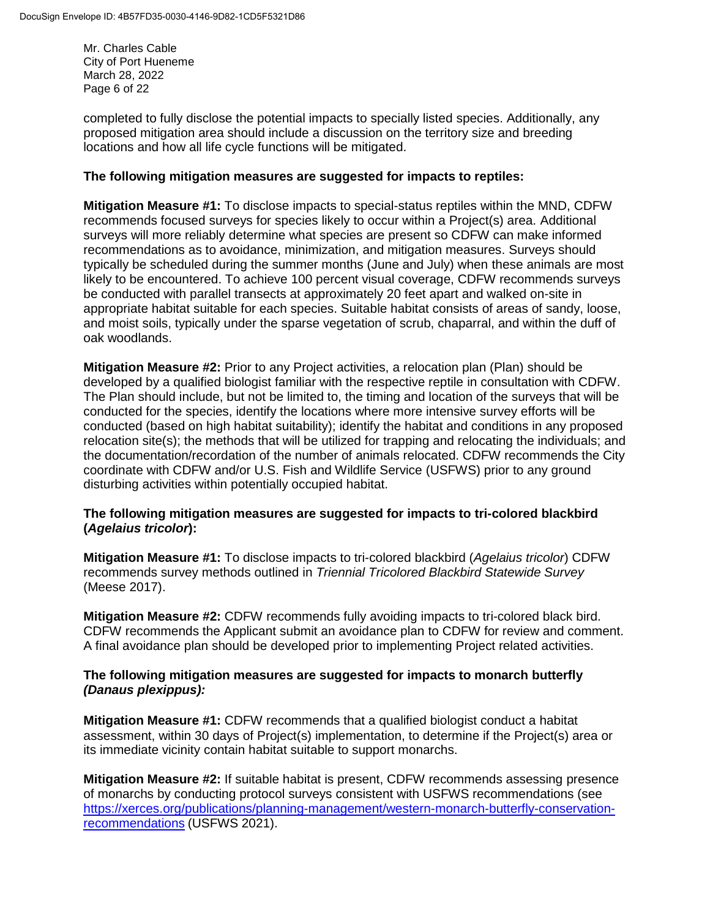Mr. Charles Cable City of Port Hueneme March 28, 2022 Page 6 of 22

completed to fully disclose the potential impacts to specially listed species. Additionally, any proposed mitigation area should include a discussion on the territory size and breeding locations and how all life cycle functions will be mitigated.

# **The following mitigation measures are suggested for impacts to reptiles:**

**Mitigation Measure #1:** To disclose impacts to special-status reptiles within the MND, CDFW recommends focused surveys for species likely to occur within a Project(s) area. Additional surveys will more reliably determine what species are present so CDFW can make informed recommendations as to avoidance, minimization, and mitigation measures. Surveys should typically be scheduled during the summer months (June and July) when these animals are most likely to be encountered. To achieve 100 percent visual coverage, CDFW recommends surveys be conducted with parallel transects at approximately 20 feet apart and walked on-site in appropriate habitat suitable for each species. Suitable habitat consists of areas of sandy, loose, and moist soils, typically under the sparse vegetation of scrub, chaparral, and within the duff of oak woodlands.

**Mitigation Measure #2:** Prior to any Project activities, a relocation plan (Plan) should be developed by a qualified biologist familiar with the respective reptile in consultation with CDFW. The Plan should include, but not be limited to, the timing and location of the surveys that will be conducted for the species, identify the locations where more intensive survey efforts will be conducted (based on high habitat suitability); identify the habitat and conditions in any proposed relocation site(s); the methods that will be utilized for trapping and relocating the individuals; and the documentation/recordation of the number of animals relocated. CDFW recommends the City coordinate with CDFW and/or U.S. Fish and Wildlife Service (USFWS) prior to any ground disturbing activities within potentially occupied habitat.

# **The following mitigation measures are suggested for impacts to tri-colored blackbird (***Agelaius tricolor***):**

**Mitigation Measure #1:** To disclose impacts to tri-colored blackbird (*Agelaius tricolor*) CDFW recommends survey methods outlined in *Triennial Tricolored Blackbird Statewide Survey*  (Meese 2017).

**Mitigation Measure #2:** CDFW recommends fully avoiding impacts to tri-colored black bird. CDFW recommends the Applicant submit an avoidance plan to CDFW for review and comment. A final avoidance plan should be developed prior to implementing Project related activities.

# **The following mitigation measures are suggested for impacts to monarch butterfly**  *(Danaus plexippus):*

**Mitigation Measure #1:** CDFW recommends that a qualified biologist conduct a habitat assessment, within 30 days of Project(s) implementation, to determine if the Project(s) area or its immediate vicinity contain habitat suitable to support monarchs.

**Mitigation Measure #2:** If suitable habitat is present, CDFW recommends assessing presence of monarchs by conducting protocol surveys consistent with USFWS recommendations (see [https://xerces.org/publications/planning-management/western-monarch-butterfly-conservation](https://xerces.org/publications/planning-management/western-monarch-butterfly-conservation-recommendations)[recommendations](https://xerces.org/publications/planning-management/western-monarch-butterfly-conservation-recommendations) (USFWS 2021).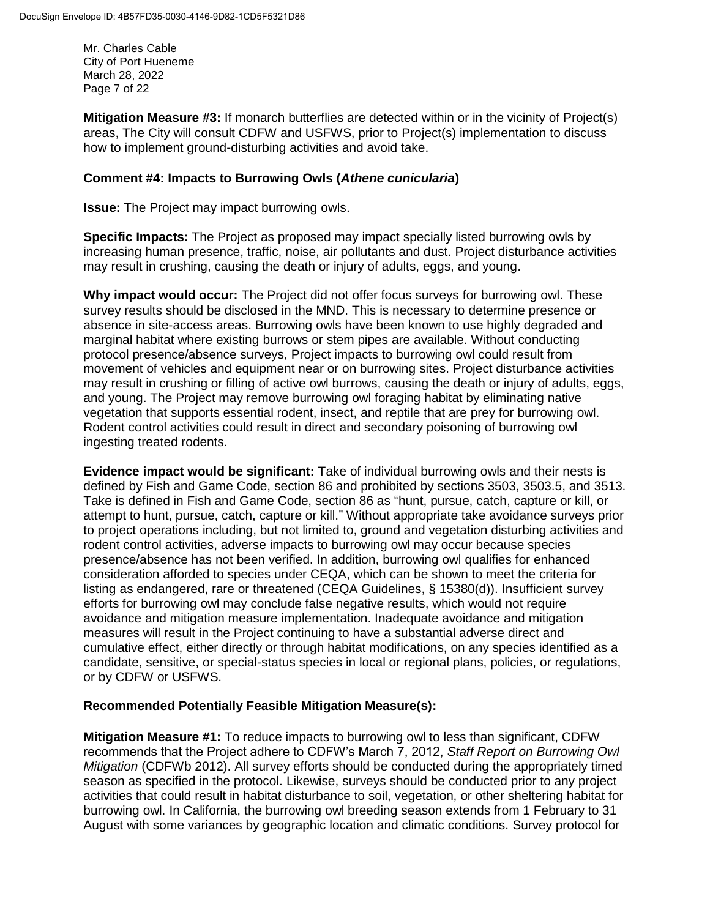Mr. Charles Cable City of Port Hueneme March 28, 2022 Page 7 of 22

**Mitigation Measure #3:** If monarch butterflies are detected within or in the vicinity of Project(s) areas, The City will consult CDFW and USFWS, prior to Project(s) implementation to discuss how to implement ground-disturbing activities and avoid take.

## **Comment #4: Impacts to Burrowing Owls (***Athene cunicularia***)**

**Issue:** The Project may impact burrowing owls.

**Specific Impacts:** The Project as proposed may impact specially listed burrowing owls by increasing human presence, traffic, noise, air pollutants and dust. Project disturbance activities may result in crushing, causing the death or injury of adults, eggs, and young.

**Why impact would occur:** The Project did not offer focus surveys for burrowing owl. These survey results should be disclosed in the MND. This is necessary to determine presence or absence in site-access areas. Burrowing owls have been known to use highly degraded and marginal habitat where existing burrows or stem pipes are available. Without conducting protocol presence/absence surveys, Project impacts to burrowing owl could result from movement of vehicles and equipment near or on burrowing sites. Project disturbance activities may result in crushing or filling of active owl burrows, causing the death or injury of adults, eggs, and young. The Project may remove burrowing owl foraging habitat by eliminating native vegetation that supports essential rodent, insect, and reptile that are prey for burrowing owl. Rodent control activities could result in direct and secondary poisoning of burrowing owl ingesting treated rodents.

**Evidence impact would be significant:** Take of individual burrowing owls and their nests is defined by Fish and Game Code, section 86 and prohibited by sections 3503, 3503.5, and 3513. Take is defined in Fish and Game Code, section 86 as "hunt, pursue, catch, capture or kill, or attempt to hunt, pursue, catch, capture or kill." Without appropriate take avoidance surveys prior to project operations including, but not limited to, ground and vegetation disturbing activities and rodent control activities, adverse impacts to burrowing owl may occur because species presence/absence has not been verified. In addition, burrowing owl qualifies for enhanced consideration afforded to species under CEQA, which can be shown to meet the criteria for listing as endangered, rare or threatened (CEQA Guidelines, § 15380(d)). Insufficient survey efforts for burrowing owl may conclude false negative results, which would not require avoidance and mitigation measure implementation. Inadequate avoidance and mitigation measures will result in the Project continuing to have a substantial adverse direct and cumulative effect, either directly or through habitat modifications, on any species identified as a candidate, sensitive, or special-status species in local or regional plans, policies, or regulations, or by CDFW or USFWS.

# **Recommended Potentially Feasible Mitigation Measure(s):**

**Mitigation Measure #1:** To reduce impacts to burrowing owl to less than significant, CDFW recommends that the Project adhere to CDFW's March 7, 2012, *Staff Report on Burrowing Owl Mitigation* (CDFWb 2012). All survey efforts should be conducted during the appropriately timed season as specified in the protocol. Likewise, surveys should be conducted prior to any project activities that could result in habitat disturbance to soil, vegetation, or other sheltering habitat for burrowing owl. In California, the burrowing owl breeding season extends from 1 February to 31 August with some variances by geographic location and climatic conditions. Survey protocol for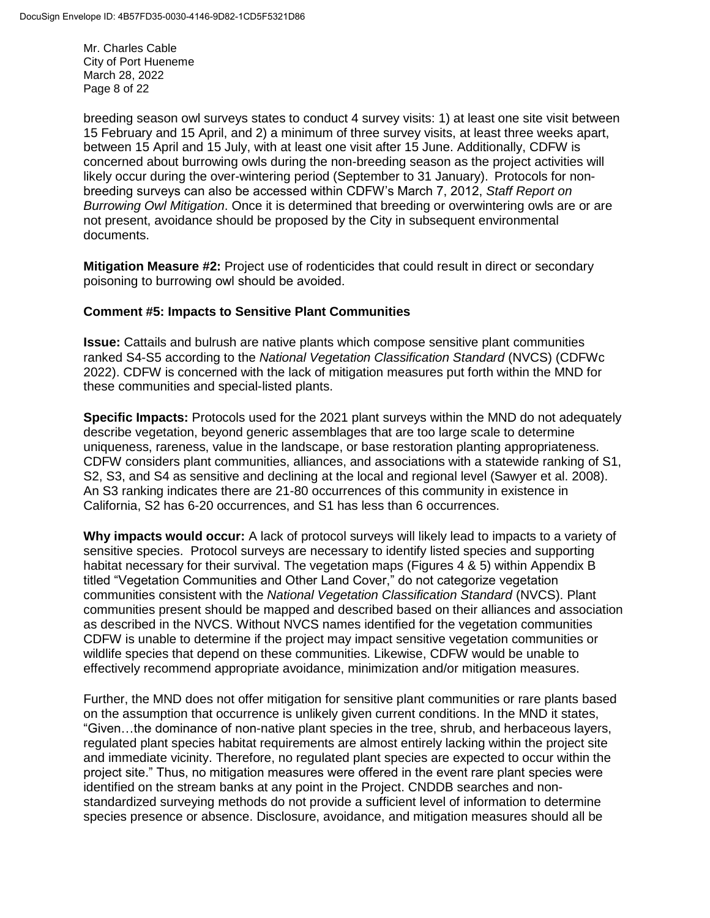Mr. Charles Cable City of Port Hueneme March 28, 2022 Page 8 of 22

breeding season owl surveys states to conduct 4 survey visits: 1) at least one site visit between 15 February and 15 April, and 2) a minimum of three survey visits, at least three weeks apart, between 15 April and 15 July, with at least one visit after 15 June. Additionally, CDFW is concerned about burrowing owls during the non-breeding season as the project activities will likely occur during the over-wintering period (September to 31 January). Protocols for nonbreeding surveys can also be accessed within CDFW's March 7, 2012, *Staff Report on Burrowing Owl Mitigation*. Once it is determined that breeding or overwintering owls are or are not present, avoidance should be proposed by the City in subsequent environmental documents.

**Mitigation Measure #2:** Project use of rodenticides that could result in direct or secondary poisoning to burrowing owl should be avoided. 

### **Comment #5: Impacts to Sensitive Plant Communities**

**Issue:** Cattails and bulrush are native plants which compose sensitive plant communities ranked S4-S5 according to the *National Vegetation Classification Standard* (NVCS) (CDFWc 2022). CDFW is concerned with the lack of mitigation measures put forth within the MND for these communities and special-listed plants.

**Specific Impacts:** Protocols used for the 2021 plant surveys within the MND do not adequately describe vegetation, beyond generic assemblages that are too large scale to determine uniqueness, rareness, value in the landscape, or base restoration planting appropriateness. CDFW considers plant communities, alliances, and associations with a statewide ranking of S1, S2, S3, and S4 as sensitive and declining at the local and regional level (Sawyer et al. 2008). An S3 ranking indicates there are 21-80 occurrences of this community in existence in California, S2 has 6-20 occurrences, and S1 has less than 6 occurrences.

**Why impacts would occur:** A lack of protocol surveys will likely lead to impacts to a variety of sensitive species. Protocol surveys are necessary to identify listed species and supporting habitat necessary for their survival. The vegetation maps (Figures 4 & 5) within Appendix B titled "Vegetation Communities and Other Land Cover," do not categorize vegetation communities consistent with the *National Vegetation Classification Standard* (NVCS). Plant communities present should be mapped and described based on their alliances and association as described in the NVCS. Without NVCS names identified for the vegetation communities CDFW is unable to determine if the project may impact sensitive vegetation communities or wildlife species that depend on these communities. Likewise, CDFW would be unable to effectively recommend appropriate avoidance, minimization and/or mitigation measures.

Further, the MND does not offer mitigation for sensitive plant communities or rare plants based on the assumption that occurrence is unlikely given current conditions. In the MND it states, "Given…the dominance of non-native plant species in the tree, shrub, and herbaceous layers, regulated plant species habitat requirements are almost entirely lacking within the project site and immediate vicinity. Therefore, no regulated plant species are expected to occur within the project site." Thus, no mitigation measures were offered in the event rare plant species were identified on the stream banks at any point in the Project. CNDDB searches and nonstandardized surveying methods do not provide a sufficient level of information to determine species presence or absence. Disclosure, avoidance, and mitigation measures should all be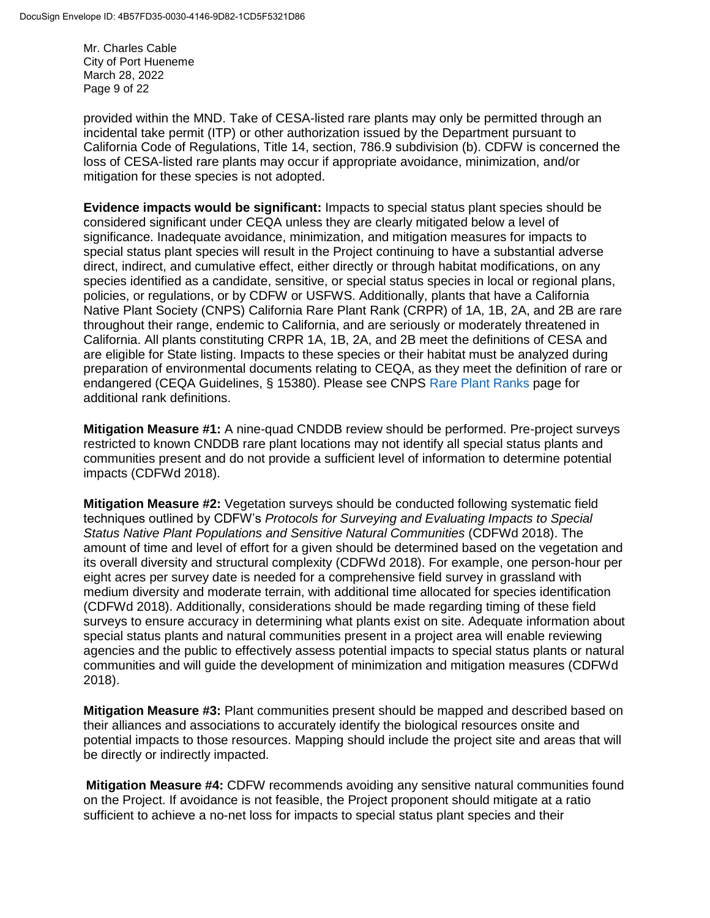Mr. Charles Cable City of Port Hueneme March 28, 2022 Page 9 of 22

provided within the MND. Take of CESA-listed rare plants may only be permitted through an incidental take permit (ITP) or other authorization issued by the Department pursuant to California Code of Regulations, Title 14, section, 786.9 subdivision (b). CDFW is concerned the loss of CESA-listed rare plants may occur if appropriate avoidance, minimization, and/or mitigation for these species is not adopted.

**Evidence impacts would be significant:** Impacts to special status plant species should be considered significant under CEQA unless they are clearly mitigated below a level of significance. Inadequate avoidance, minimization, and mitigation measures for impacts to special status plant species will result in the Project continuing to have a substantial adverse direct, indirect, and cumulative effect, either directly or through habitat modifications, on any species identified as a candidate, sensitive, or special status species in local or regional plans, policies, or regulations, or by CDFW or USFWS. Additionally, plants that have a California Native Plant Society (CNPS) California Rare Plant Rank (CRPR) of 1A, 1B, 2A, and 2B are rare throughout their range, endemic to California, and are seriously or moderately threatened in California. All plants constituting CRPR 1A, 1B, 2A, and 2B meet the definitions of CESA and are eligible for State listing. Impacts to these species or their habitat must be analyzed during preparation of environmental documents relating to CEQA, as they meet the definition of rare or endangered (CEQA Guidelines, § 15380). Please see CNPS [Rare Plant Ranks](https://www.cnps.org/rare-plants/cnps-rare-plant-ranks) page for additional rank definitions.

**Mitigation Measure #1:** A nine-quad CNDDB review should be performed. Pre-project surveys restricted to known CNDDB rare plant locations may not identify all special status plants and communities present and do not provide a sufficient level of information to determine potential impacts (CDFWd 2018).

**Mitigation Measure #2:** Vegetation surveys should be conducted following systematic field techniques outlined by CDFW's *Protocols for Surveying and Evaluating Impacts to Special Status Native Plant Populations and Sensitive Natural Communities* (CDFWd 2018). The amount of time and level of effort for a given should be determined based on the vegetation and its overall diversity and structural complexity (CDFWd 2018). For example, one person-hour per eight acres per survey date is needed for a comprehensive field survey in grassland with medium diversity and moderate terrain, with additional time allocated for species identification (CDFWd 2018). Additionally, considerations should be made regarding timing of these field surveys to ensure accuracy in determining what plants exist on site. Adequate information about special status plants and natural communities present in a project area will enable reviewing agencies and the public to effectively assess potential impacts to special status plants or natural communities and will guide the development of minimization and mitigation measures (CDFWd 2018).

**Mitigation Measure #3:** Plant communities present should be mapped and described based on their alliances and associations to accurately identify the biological resources onsite and potential impacts to those resources. Mapping should include the project site and areas that will be directly or indirectly impacted.

**Mitigation Measure #4:** CDFW recommends avoiding any sensitive natural communities found on the Project. If avoidance is not feasible, the Project proponent should mitigate at a ratio sufficient to achieve a no-net loss for impacts to special status plant species and their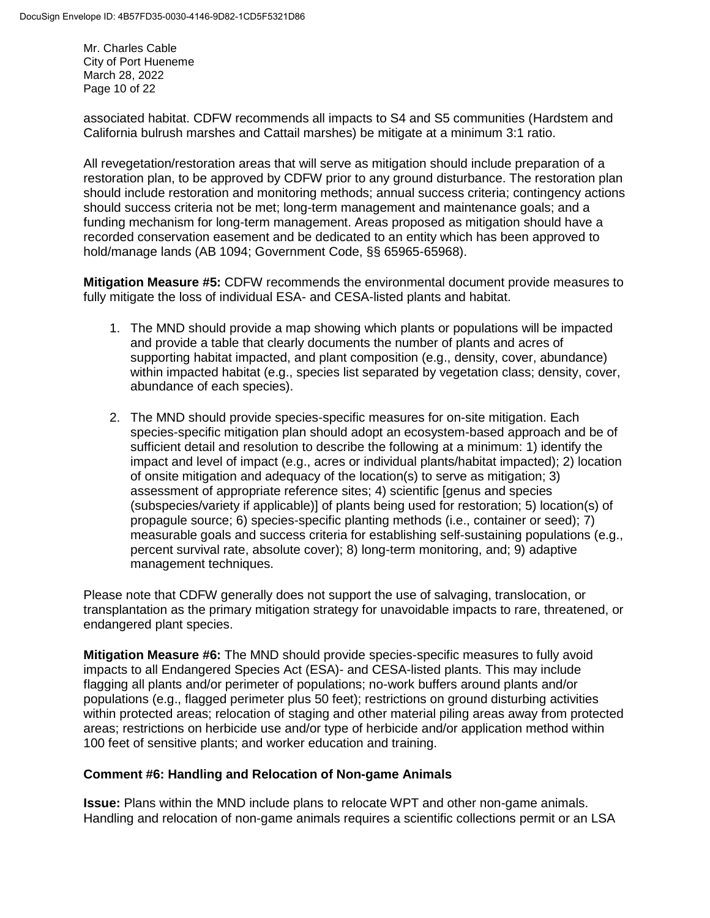Mr. Charles Cable City of Port Hueneme March 28, 2022 Page 10 of 22

associated habitat. CDFW recommends all impacts to S4 and S5 communities (Hardstem and California bulrush marshes and Cattail marshes) be mitigate at a minimum 3:1 ratio.

All revegetation/restoration areas that will serve as mitigation should include preparation of a restoration plan, to be approved by CDFW prior to any ground disturbance. The restoration plan should include restoration and monitoring methods; annual success criteria; contingency actions should success criteria not be met; long-term management and maintenance goals; and a funding mechanism for long-term management. Areas proposed as mitigation should have a recorded conservation easement and be dedicated to an entity which has been approved to hold/manage lands (AB 1094; Government Code, §§ 65965-65968).  

**Mitigation Measure #5:** CDFW recommends the environmental document provide measures to fully mitigate the loss of individual ESA- and CESA-listed plants and habitat.

- 1. The MND should provide a map showing which plants or populations will be impacted and provide a table that clearly documents the number of plants and acres of supporting habitat impacted, and plant composition (e.g., density, cover, abundance) within impacted habitat (e.g., species list separated by vegetation class; density, cover, abundance of each species).
- 2. The MND should provide species-specific measures for on-site mitigation. Each species-specific mitigation plan should adopt an ecosystem-based approach and be of sufficient detail and resolution to describe the following at a minimum: 1) identify the impact and level of impact (e.g., acres or individual plants/habitat impacted); 2) location of onsite mitigation and adequacy of the location(s) to serve as mitigation; 3) assessment of appropriate reference sites; 4) scientific [genus and species (subspecies/variety if applicable)] of plants being used for restoration; 5) location(s) of propagule source; 6) species-specific planting methods (i.e., container or seed); 7) measurable goals and success criteria for establishing self-sustaining populations (e.g., percent survival rate, absolute cover); 8) long-term monitoring, and; 9) adaptive management techniques.

Please note that CDFW generally does not support the use of salvaging, translocation, or transplantation as the primary mitigation strategy for unavoidable impacts to rare, threatened, or endangered plant species.

**Mitigation Measure #6:** The MND should provide species-specific measures to fully avoid impacts to all Endangered Species Act (ESA)- and CESA-listed plants. This may include flagging all plants and/or perimeter of populations; no-work buffers around plants and/or populations (e.g., flagged perimeter plus 50 feet); restrictions on ground disturbing activities within protected areas; relocation of staging and other material piling areas away from protected areas; restrictions on herbicide use and/or type of herbicide and/or application method within 100 feet of sensitive plants; and worker education and training.

# **Comment #6: Handling and Relocation of Non-game Animals**

**Issue:** Plans within the MND include plans to relocate WPT and other non-game animals. Handling and relocation of non-game animals requires a scientific collections permit or an LSA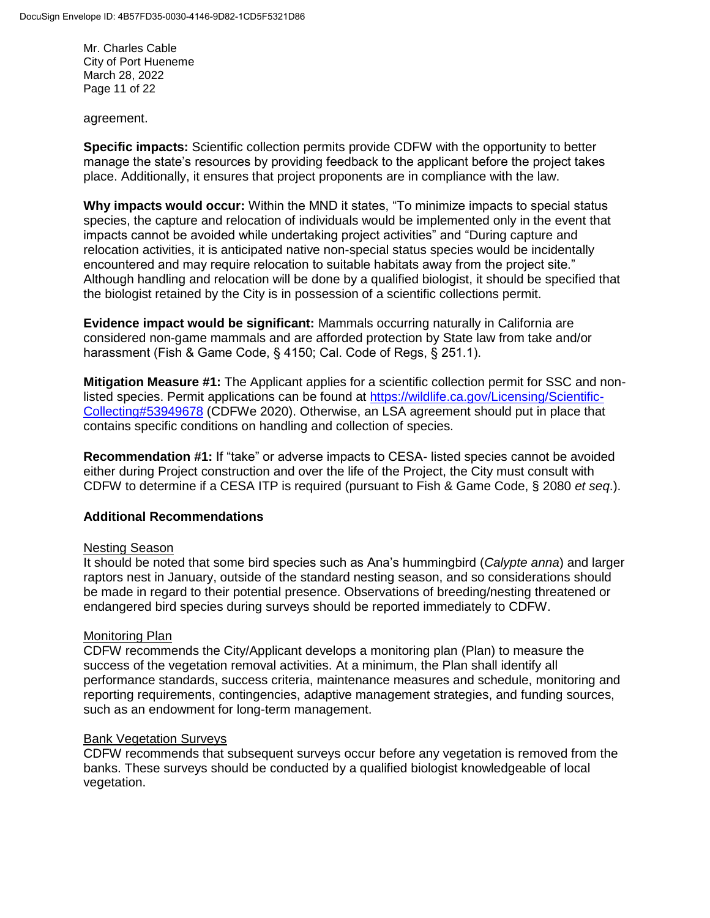Mr. Charles Cable City of Port Hueneme March 28, 2022 Page 11 of 22

agreement.

**Specific impacts:** Scientific collection permits provide CDFW with the opportunity to better manage the state's resources by providing feedback to the applicant before the project takes place. Additionally, it ensures that project proponents are in compliance with the law.

**Why impacts would occur:** Within the MND it states, "To minimize impacts to special status species, the capture and relocation of individuals would be implemented only in the event that impacts cannot be avoided while undertaking project activities" and "During capture and relocation activities, it is anticipated native non-special status species would be incidentally encountered and may require relocation to suitable habitats away from the project site." Although handling and relocation will be done by a qualified biologist, it should be specified that the biologist retained by the City is in possession of a scientific collections permit.

**Evidence impact would be significant:** Mammals occurring naturally in California are considered non-game mammals and are afforded protection by State law from take and/or harassment (Fish & Game Code, § 4150; Cal. Code of Regs, § 251.1).

**Mitigation Measure #1:** The Applicant applies for a scientific collection permit for SSC and nonlisted species. Permit applications can be found at [https://wildlife.ca.gov/Licensing/Scientific-](https://wildlife.ca.gov/Licensing/Scientific-Collecting#53949678)[Collecting#53949678](https://wildlife.ca.gov/Licensing/Scientific-Collecting#53949678) (CDFWe 2020). Otherwise, an LSA agreement should put in place that contains specific conditions on handling and collection of species.

**Recommendation #1:** If "take" or adverse impacts to CESA- listed species cannot be avoided either during Project construction and over the life of the Project, the City must consult with CDFW to determine if a CESA ITP is required (pursuant to Fish & Game Code, § 2080 *et seq*.).

# **Additional Recommendations**

#### Nesting Season

It should be noted that some bird species such as Ana's hummingbird (*Calypte anna*) and larger raptors nest in January, outside of the standard nesting season, and so considerations should be made in regard to their potential presence. Observations of breeding/nesting threatened or endangered bird species during surveys should be reported immediately to CDFW.

#### Monitoring Plan

CDFW recommends the City/Applicant develops a monitoring plan (Plan) to measure the success of the vegetation removal activities. At a minimum, the Plan shall identify all performance standards, success criteria, maintenance measures and schedule, monitoring and reporting requirements, contingencies, adaptive management strategies, and funding sources, such as an endowment for long-term management.

#### Bank Vegetation Surveys

CDFW recommends that subsequent surveys occur before any vegetation is removed from the banks. These surveys should be conducted by a qualified biologist knowledgeable of local vegetation.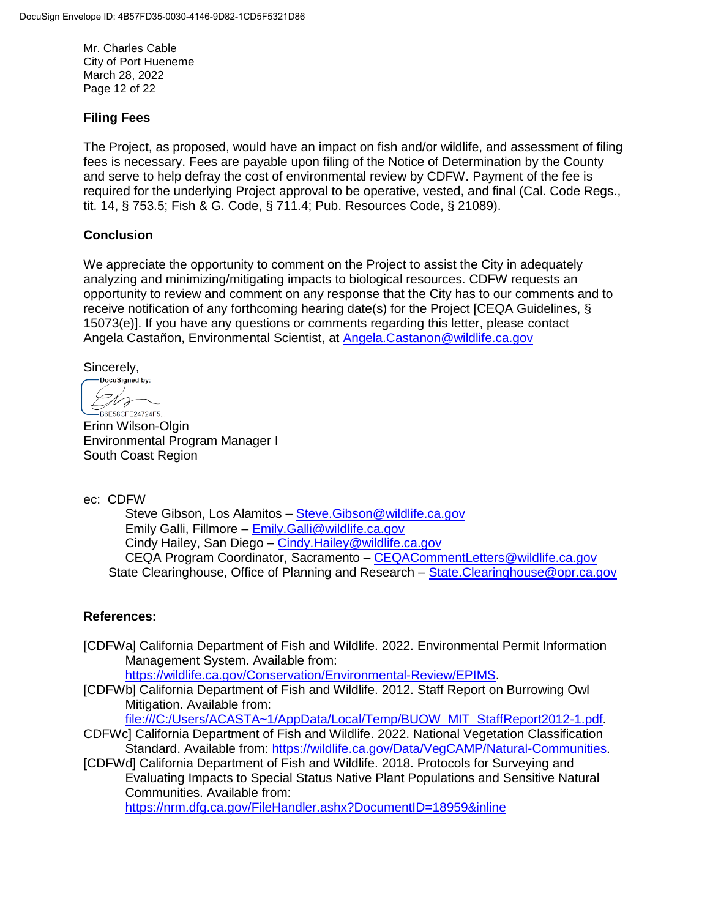Mr. Charles Cable City of Port Hueneme March 28, 2022 Page 12 of 22

## **Filing Fees**

The Project, as proposed, would have an impact on fish and/or wildlife, and assessment of filing fees is necessary. Fees are payable upon filing of the Notice of Determination by the County and serve to help defray the cost of environmental review by CDFW. Payment of the fee is required for the underlying Project approval to be operative, vested, and final (Cal. Code Regs., tit. 14, § 753.5; Fish & G. Code, § 711.4; Pub. Resources Code, § 21089).

## **Conclusion**

We appreciate the opportunity to comment on the Project to assist the City in adequately analyzing and minimizing/mitigating impacts to biological resources. CDFW requests an opportunity to review and comment on any response that the City has to our comments and to receive notification of any forthcoming hearing date(s) for the Project [CEQA Guidelines, § 15073(e)]. If you have any questions or comments regarding this letter, please contact Angela Castañon, Environmental Scientist, at **[Angela.Castanon@wildlife.ca.gov](mailto:Baron.Barrera@wildlife.ca.gov)** 

Sincerely,<br>— DocuSigned by:

U F B6E58CFE24724F5...

Erinn Wilson-Olgin Environmental Program Manager I South Coast Region

ec: CDFW

Steve Gibson, Los Alamitos - Steve. Gibson@wildlife.ca.gov Emily Galli, Fillmore – [Emily.Galli@wildlife.ca.gov](mailto:Emily.Galli@wildlife.ca.gov) Cindy Hailey, San Diego – [Cindy.Hailey@wildlife.ca.gov](mailto:Cindy.Hailey@wildlife.ca.gov) CEQA Program Coordinator, Sacramento – [CEQACommentLetters@wildlife.ca.gov](mailto:CEQACommentLetters@wildlife.ca.gov)  State Clearinghouse, Office of Planning and Research - State. Clearinghouse @ opr.ca.gov

#### **References:**

[CDFWa] California Department of Fish and Wildlife. 2022. Environmental Permit Information Management System. Available from:

[https://wildlife.ca.gov/Conservation/Environmental-Review/EPIMS.](https://wildlife.ca.gov/Conservation/Environmental-Review/EPIMS)

[CDFWb] California Department of Fish and Wildlife. 2012. Staff Report on Burrowing Owl Mitigation. Available from:

[file:///C:/Users/ACASTA~1/AppData/Local/Temp/BUOW\\_MIT\\_StaffReport2012-1.pdf.](file:///C:/Users/ACASTA~1/AppData/Local/Temp/BUOW_MIT_StaffReport2012-1.pdf) CDFWc] California Department of Fish and Wildlife. 2022. National Vegetation Classification

Standard. Available from: [https://wildlife.ca.gov/Data/VegCAMP/Natural-Communities.](https://wildlife.ca.gov/Data/VegCAMP/Natural-Communities) [CDFWd] California Department of Fish and Wildlife. 2018. Protocols for Surveying and Evaluating Impacts to Special Status Native Plant Populations and Sensitive Natural Communities. Available from:

<https://nrm.dfg.ca.gov/FileHandler.ashx?DocumentID=18959&inline>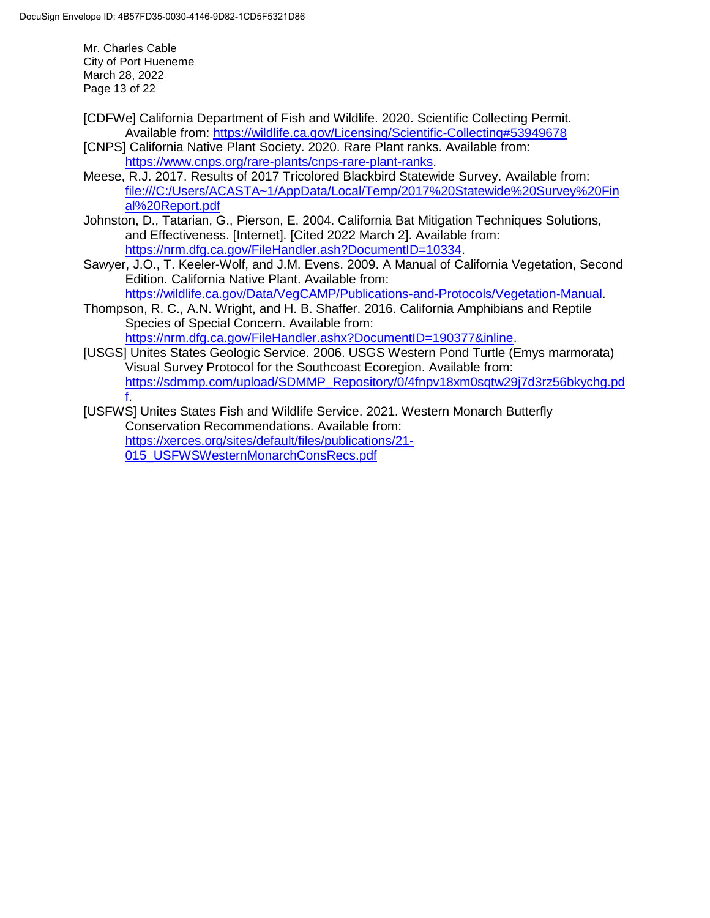Mr. Charles Cable City of Port Hueneme March 28, 2022 Page 13 of 22

- [CDFWe] California Department of Fish and Wildlife. 2020. Scientific Collecting Permit. Available from:<https://wildlife.ca.gov/Licensing/Scientific-Collecting#53949678>
- [CNPS] California Native Plant Society. 2020. Rare Plant ranks. Available from: [https://www.cnps.org/rare-plants/cnps-rare-plant-ranks.](https://www.cnps.org/rare-plants/cnps-rare-plant-ranks)
- Meese, R.J. 2017. Results of 2017 Tricolored Blackbird Statewide Survey. Available from: [file:///C:/Users/ACASTA~1/AppData/Local/Temp/2017%20Statewide%20Survey%20Fin](file:///C:/Users/ACASTA~1/AppData/Local/Temp/2017%20Statewide%20Survey%20Final%20Report.pdf) [al%20Report.pdf](file:///C:/Users/ACASTA~1/AppData/Local/Temp/2017%20Statewide%20Survey%20Final%20Report.pdf)
- Johnston, D., Tatarian, G., Pierson, E. 2004. California Bat Mitigation Techniques Solutions, and Effectiveness. [Internet]. [Cited 2022 March 2]. Available from: [https://nrm.dfg.ca.gov/FileHandler.ash?DocumentID=10334.](https://nrm.dfg.ca.gov/FileHandler.ash?DocumentID=10334)
- Sawyer, J.O., T. Keeler-Wolf, and J.M. Evens. 2009. A Manual of California Vegetation, Second Edition. California Native Plant. Available from: [https://wildlife.ca.gov/Data/VegCAMP/Publications-and-Protocols/Vegetation-Manual.](https://wildlife.ca.gov/Data/VegCAMP/Publications-and-Protocols/Vegetation-Manual)
- Thompson, R. C., A.N. Wright, and H. B. Shaffer. 2016. California Amphibians and Reptile Species of Special Concern. Available from: [https://nrm.dfg.ca.gov/FileHandler.ashx?DocumentID=190377&inline.](https://nrm.dfg.ca.gov/FileHandler.ashx?DocumentID=190377&inline)
- [USGS] Unites States Geologic Service. 2006. USGS Western Pond Turtle (Emys marmorata) Visual Survey Protocol for the Southcoast Ecoregion. Available from: [https://sdmmp.com/upload/SDMMP\\_Repository/0/4fnpv18xm0sqtw29j7d3rz56bkychg.pd](https://sdmmp.com/upload/SDMMP_Repository/0/4fnpv18xm0sqtw29j7d3rz56bkychg.pdf) [f.](https://sdmmp.com/upload/SDMMP_Repository/0/4fnpv18xm0sqtw29j7d3rz56bkychg.pdf)
- [USFWS] Unites States Fish and Wildlife Service. 2021. Western Monarch Butterfly Conservation Recommendations. Available from: [https://xerces.org/sites/default/files/publications/21-](https://xerces.org/sites/default/files/publications/21-015_USFWSWesternMonarchConsRecs.pdf) [015\\_USFWSWesternMonarchConsRecs.pdf](https://xerces.org/sites/default/files/publications/21-015_USFWSWesternMonarchConsRecs.pdf)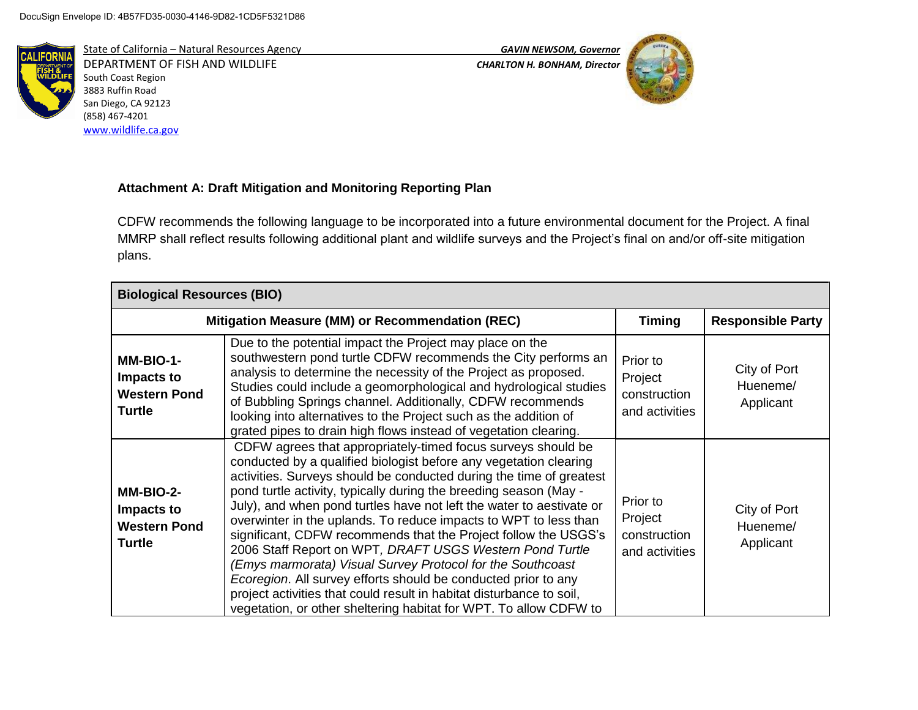

State of California – Natural Resources Agency *GAVIN NEWSOM, Governor* DEPARTMENT OF FISH AND WILDLIFE *CHARLTON H. BONHAM, Director*  South Coast Region 3883 Ruffin Road San Diego, CA 92123 (858) 467-4201 [www.wildlife.ca.gov](http://www.wildlife.ca.gov/)



# **Attachment A: Draft Mitigation and Monitoring Reporting Plan**

CDFW recommends the following language to be incorporated into a future environmental document for the Project. A final MMRP shall reflect results following additional plant and wildlife surveys and the Project's final on and/or off-site mitigation plans.

| <b>Biological Resources (BIO)</b>                               |                                                                                                                                                                                                                                                                                                                                                                                                                                                                                                                                                                                                                                                                                                                                                                                                                                       |                                                       |                                       |
|-----------------------------------------------------------------|---------------------------------------------------------------------------------------------------------------------------------------------------------------------------------------------------------------------------------------------------------------------------------------------------------------------------------------------------------------------------------------------------------------------------------------------------------------------------------------------------------------------------------------------------------------------------------------------------------------------------------------------------------------------------------------------------------------------------------------------------------------------------------------------------------------------------------------|-------------------------------------------------------|---------------------------------------|
|                                                                 | Mitigation Measure (MM) or Recommendation (REC)                                                                                                                                                                                                                                                                                                                                                                                                                                                                                                                                                                                                                                                                                                                                                                                       | <b>Timing</b>                                         | <b>Responsible Party</b>              |
| MM-BIO-1-<br>Impacts to<br><b>Western Pond</b><br><b>Turtle</b> | Due to the potential impact the Project may place on the<br>southwestern pond turtle CDFW recommends the City performs an<br>analysis to determine the necessity of the Project as proposed.<br>Studies could include a geomorphological and hydrological studies<br>of Bubbling Springs channel. Additionally, CDFW recommends<br>looking into alternatives to the Project such as the addition of<br>grated pipes to drain high flows instead of vegetation clearing.                                                                                                                                                                                                                                                                                                                                                               | Prior to<br>Project<br>construction<br>and activities | City of Port<br>Hueneme/<br>Applicant |
| MM-BIO-2-<br>Impacts to<br><b>Western Pond</b><br><b>Turtle</b> | CDFW agrees that appropriately-timed focus surveys should be<br>conducted by a qualified biologist before any vegetation clearing<br>activities. Surveys should be conducted during the time of greatest<br>pond turtle activity, typically during the breeding season (May -<br>July), and when pond turtles have not left the water to aestivate or<br>overwinter in the uplands. To reduce impacts to WPT to less than<br>significant, CDFW recommends that the Project follow the USGS's<br>2006 Staff Report on WPT, DRAFT USGS Western Pond Turtle<br>(Emys marmorata) Visual Survey Protocol for the Southcoast<br>Ecoregion. All survey efforts should be conducted prior to any<br>project activities that could result in habitat disturbance to soil,<br>vegetation, or other sheltering habitat for WPT. To allow CDFW to | Prior to<br>Project<br>construction<br>and activities | City of Port<br>Hueneme/<br>Applicant |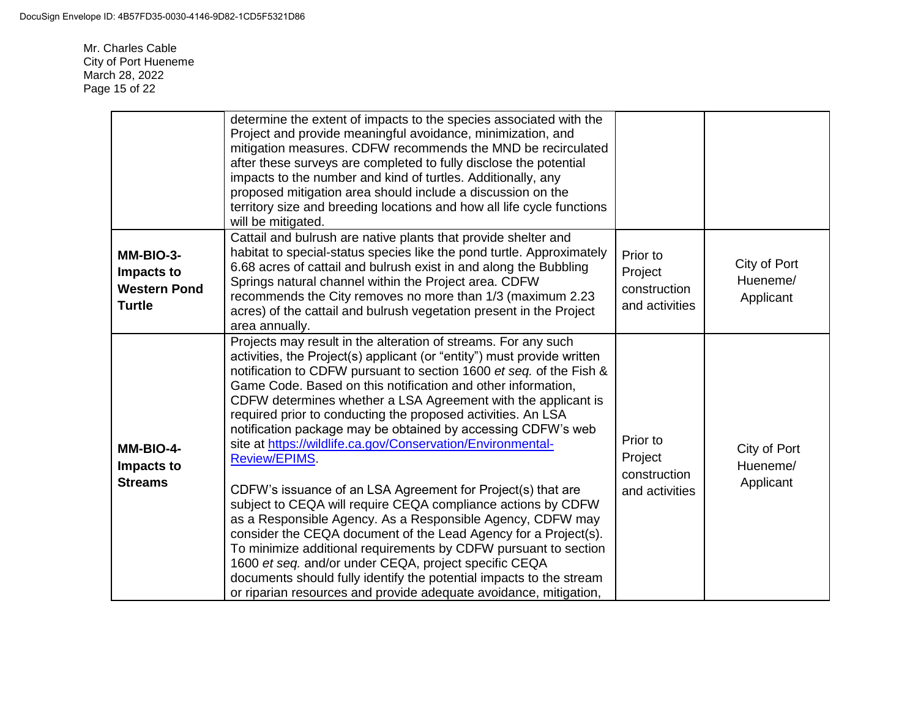Mr. Charles Cable City of Port Hueneme March 28, 2022 Page 15 of 22

|                                                                 | determine the extent of impacts to the species associated with the<br>Project and provide meaningful avoidance, minimization, and<br>mitigation measures. CDFW recommends the MND be recirculated<br>after these surveys are completed to fully disclose the potential<br>impacts to the number and kind of turtles. Additionally, any<br>proposed mitigation area should include a discussion on the<br>territory size and breeding locations and how all life cycle functions<br>will be mitigated.                                                                                                                                                                                                                                                                                                                                                                                                                                                                                                                                                                                                            |                                                       |                                       |
|-----------------------------------------------------------------|------------------------------------------------------------------------------------------------------------------------------------------------------------------------------------------------------------------------------------------------------------------------------------------------------------------------------------------------------------------------------------------------------------------------------------------------------------------------------------------------------------------------------------------------------------------------------------------------------------------------------------------------------------------------------------------------------------------------------------------------------------------------------------------------------------------------------------------------------------------------------------------------------------------------------------------------------------------------------------------------------------------------------------------------------------------------------------------------------------------|-------------------------------------------------------|---------------------------------------|
| MM-BIO-3-<br>Impacts to<br><b>Western Pond</b><br><b>Turtle</b> | Cattail and bulrush are native plants that provide shelter and<br>habitat to special-status species like the pond turtle. Approximately<br>6.68 acres of cattail and bulrush exist in and along the Bubbling<br>Springs natural channel within the Project area. CDFW<br>recommends the City removes no more than 1/3 (maximum 2.23<br>acres) of the cattail and bulrush vegetation present in the Project<br>area annually.                                                                                                                                                                                                                                                                                                                                                                                                                                                                                                                                                                                                                                                                                     | Prior to<br>Project<br>construction<br>and activities | City of Port<br>Hueneme/<br>Applicant |
| MM-BIO-4-<br>Impacts to<br><b>Streams</b>                       | Projects may result in the alteration of streams. For any such<br>activities, the Project(s) applicant (or "entity") must provide written<br>notification to CDFW pursuant to section 1600 et seq. of the Fish &<br>Game Code. Based on this notification and other information,<br>CDFW determines whether a LSA Agreement with the applicant is<br>required prior to conducting the proposed activities. An LSA<br>notification package may be obtained by accessing CDFW's web<br>site at https://wildlife.ca.gov/Conservation/Environmental-<br><b>Review/EPIMS.</b><br>CDFW's issuance of an LSA Agreement for Project(s) that are<br>subject to CEQA will require CEQA compliance actions by CDFW<br>as a Responsible Agency. As a Responsible Agency, CDFW may<br>consider the CEQA document of the Lead Agency for a Project(s).<br>To minimize additional requirements by CDFW pursuant to section<br>1600 et seq. and/or under CEQA, project specific CEQA<br>documents should fully identify the potential impacts to the stream<br>or riparian resources and provide adequate avoidance, mitigation, | Prior to<br>Project<br>construction<br>and activities | City of Port<br>Hueneme/<br>Applicant |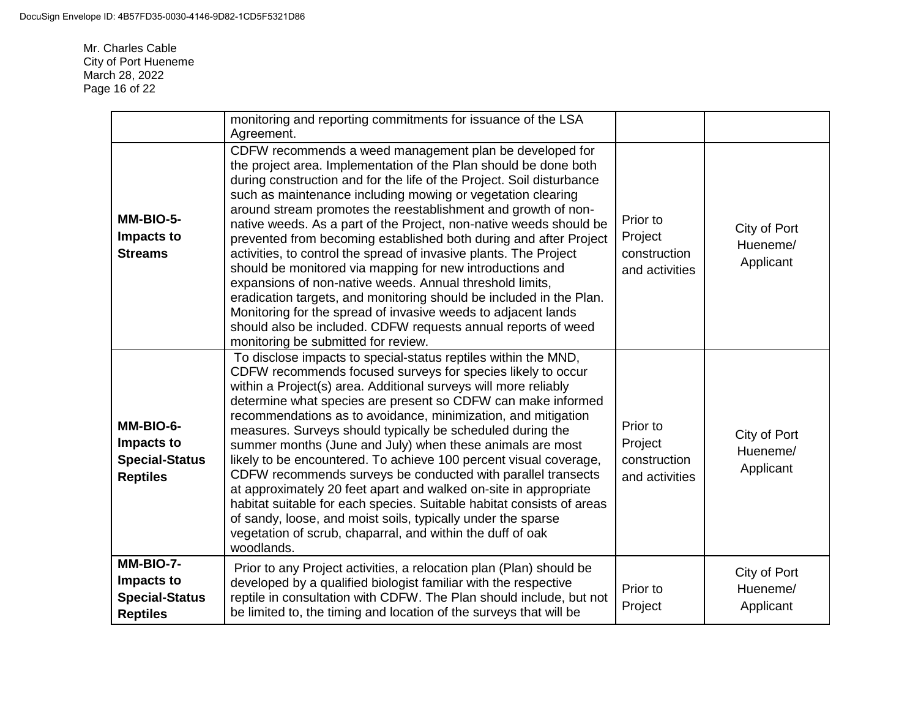Mr. Charles Cable City of Port Hueneme March 28, 2022 Page 16 of 22

|                                                                     | monitoring and reporting commitments for issuance of the LSA<br>Agreement.                                                                                                                                                                                                                                                                                                                                                                                                                                                                                                                                                                                                                                                                                                                                                                                                                                                    |                                                       |                                       |
|---------------------------------------------------------------------|-------------------------------------------------------------------------------------------------------------------------------------------------------------------------------------------------------------------------------------------------------------------------------------------------------------------------------------------------------------------------------------------------------------------------------------------------------------------------------------------------------------------------------------------------------------------------------------------------------------------------------------------------------------------------------------------------------------------------------------------------------------------------------------------------------------------------------------------------------------------------------------------------------------------------------|-------------------------------------------------------|---------------------------------------|
| MM-BIO-5-<br>Impacts to<br><b>Streams</b>                           | CDFW recommends a weed management plan be developed for<br>the project area. Implementation of the Plan should be done both<br>during construction and for the life of the Project. Soil disturbance<br>such as maintenance including mowing or vegetation clearing<br>around stream promotes the reestablishment and growth of non-<br>native weeds. As a part of the Project, non-native weeds should be<br>prevented from becoming established both during and after Project<br>activities, to control the spread of invasive plants. The Project<br>should be monitored via mapping for new introductions and<br>expansions of non-native weeds. Annual threshold limits,<br>eradication targets, and monitoring should be included in the Plan.<br>Monitoring for the spread of invasive weeds to adjacent lands<br>should also be included. CDFW requests annual reports of weed<br>monitoring be submitted for review. | Prior to<br>Project<br>construction<br>and activities | City of Port<br>Hueneme/<br>Applicant |
| MM-BIO-6-<br>Impacts to<br><b>Special-Status</b><br><b>Reptiles</b> | To disclose impacts to special-status reptiles within the MND,<br>CDFW recommends focused surveys for species likely to occur<br>within a Project(s) area. Additional surveys will more reliably<br>determine what species are present so CDFW can make informed<br>recommendations as to avoidance, minimization, and mitigation<br>measures. Surveys should typically be scheduled during the<br>summer months (June and July) when these animals are most<br>likely to be encountered. To achieve 100 percent visual coverage,<br>CDFW recommends surveys be conducted with parallel transects<br>at approximately 20 feet apart and walked on-site in appropriate<br>habitat suitable for each species. Suitable habitat consists of areas<br>of sandy, loose, and moist soils, typically under the sparse<br>vegetation of scrub, chaparral, and within the duff of oak<br>woodlands.                                    | Prior to<br>Project<br>construction<br>and activities | City of Port<br>Hueneme/<br>Applicant |
| MM-BIO-7-<br>Impacts to<br><b>Special-Status</b><br><b>Reptiles</b> | Prior to any Project activities, a relocation plan (Plan) should be<br>developed by a qualified biologist familiar with the respective<br>reptile in consultation with CDFW. The Plan should include, but not<br>be limited to, the timing and location of the surveys that will be                                                                                                                                                                                                                                                                                                                                                                                                                                                                                                                                                                                                                                           | Prior to<br>Project                                   | City of Port<br>Hueneme/<br>Applicant |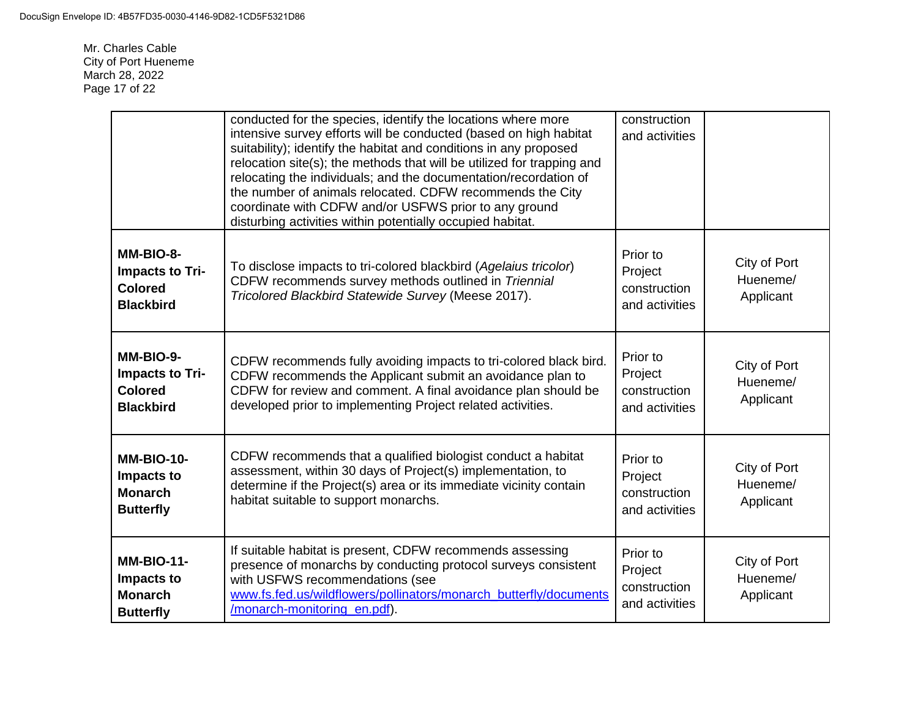Mr. Charles Cable City of Port Hueneme March 28, 2022 Page 17 of 22

|                                                                           | conducted for the species, identify the locations where more<br>intensive survey efforts will be conducted (based on high habitat<br>suitability); identify the habitat and conditions in any proposed<br>relocation site(s); the methods that will be utilized for trapping and<br>relocating the individuals; and the documentation/recordation of<br>the number of animals relocated. CDFW recommends the City<br>coordinate with CDFW and/or USFWS prior to any ground<br>disturbing activities within potentially occupied habitat. | construction<br>and activities                        |                                       |
|---------------------------------------------------------------------------|------------------------------------------------------------------------------------------------------------------------------------------------------------------------------------------------------------------------------------------------------------------------------------------------------------------------------------------------------------------------------------------------------------------------------------------------------------------------------------------------------------------------------------------|-------------------------------------------------------|---------------------------------------|
| MM-BIO-8-<br><b>Impacts to Tri-</b><br><b>Colored</b><br><b>Blackbird</b> | To disclose impacts to tri-colored blackbird (Agelaius tricolor)<br>CDFW recommends survey methods outlined in Triennial<br>Tricolored Blackbird Statewide Survey (Meese 2017).                                                                                                                                                                                                                                                                                                                                                          | Prior to<br>Project<br>construction<br>and activities | City of Port<br>Hueneme/<br>Applicant |
| MM-BIO-9-<br>Impacts to Tri-<br><b>Colored</b><br><b>Blackbird</b>        | CDFW recommends fully avoiding impacts to tri-colored black bird.<br>CDFW recommends the Applicant submit an avoidance plan to<br>CDFW for review and comment. A final avoidance plan should be<br>developed prior to implementing Project related activities.                                                                                                                                                                                                                                                                           | Prior to<br>Project<br>construction<br>and activities | City of Port<br>Hueneme/<br>Applicant |
| <b>MM-BIO-10-</b><br>Impacts to<br><b>Monarch</b><br><b>Butterfly</b>     | CDFW recommends that a qualified biologist conduct a habitat<br>assessment, within 30 days of Project(s) implementation, to<br>determine if the Project(s) area or its immediate vicinity contain<br>habitat suitable to support monarchs.                                                                                                                                                                                                                                                                                               | Prior to<br>Project<br>construction<br>and activities | City of Port<br>Hueneme/<br>Applicant |
| <b>MM-BIO-11-</b><br>Impacts to<br><b>Monarch</b><br><b>Butterfly</b>     | If suitable habitat is present, CDFW recommends assessing<br>presence of monarchs by conducting protocol surveys consistent<br>with USFWS recommendations (see<br>www.fs.fed.us/wildflowers/pollinators/monarch_butterfly/documents<br>/monarch-monitoring_en.pdf).                                                                                                                                                                                                                                                                      | Prior to<br>Project<br>construction<br>and activities | City of Port<br>Hueneme/<br>Applicant |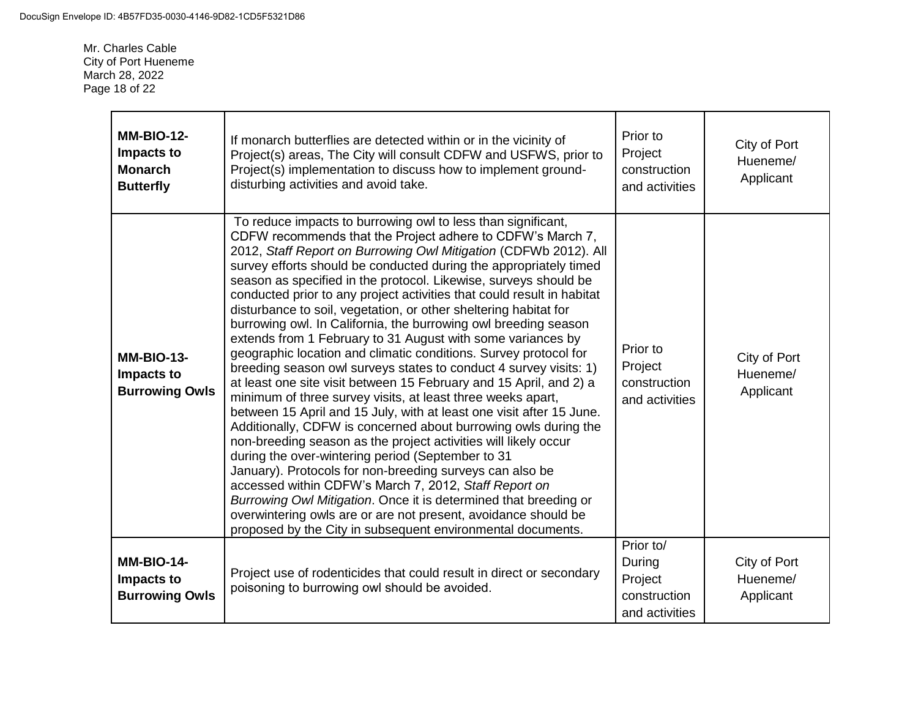Mr. Charles Cable City of Port Hueneme March 28, 2022 Page 18 of 22

| <b>MM-BIO-12-</b><br>Impacts to<br><b>Monarch</b><br><b>Butterfly</b> | If monarch butterflies are detected within or in the vicinity of<br>Project(s) areas, The City will consult CDFW and USFWS, prior to<br>Project(s) implementation to discuss how to implement ground-<br>disturbing activities and avoid take.                                                                                                                                                                                                                                                                                                                                                                                                                                                                                                                                                                                                                                                                                                                                                                                                                                                                                                                                                                                                                                                                                                                                                                                                                                                     | Prior to<br>Project<br>construction<br>and activities            | City of Port<br>Hueneme/<br>Applicant |
|-----------------------------------------------------------------------|----------------------------------------------------------------------------------------------------------------------------------------------------------------------------------------------------------------------------------------------------------------------------------------------------------------------------------------------------------------------------------------------------------------------------------------------------------------------------------------------------------------------------------------------------------------------------------------------------------------------------------------------------------------------------------------------------------------------------------------------------------------------------------------------------------------------------------------------------------------------------------------------------------------------------------------------------------------------------------------------------------------------------------------------------------------------------------------------------------------------------------------------------------------------------------------------------------------------------------------------------------------------------------------------------------------------------------------------------------------------------------------------------------------------------------------------------------------------------------------------------|------------------------------------------------------------------|---------------------------------------|
| <b>MM-BIO-13-</b><br>Impacts to<br><b>Burrowing Owls</b>              | To reduce impacts to burrowing owl to less than significant,<br>CDFW recommends that the Project adhere to CDFW's March 7,<br>2012, Staff Report on Burrowing Owl Mitigation (CDFWb 2012). All<br>survey efforts should be conducted during the appropriately timed<br>season as specified in the protocol. Likewise, surveys should be<br>conducted prior to any project activities that could result in habitat<br>disturbance to soil, vegetation, or other sheltering habitat for<br>burrowing owl. In California, the burrowing owl breeding season<br>extends from 1 February to 31 August with some variances by<br>geographic location and climatic conditions. Survey protocol for<br>breeding season owl surveys states to conduct 4 survey visits: 1)<br>at least one site visit between 15 February and 15 April, and 2) a<br>minimum of three survey visits, at least three weeks apart,<br>between 15 April and 15 July, with at least one visit after 15 June.<br>Additionally, CDFW is concerned about burrowing owls during the<br>non-breeding season as the project activities will likely occur<br>during the over-wintering period (September to 31<br>January). Protocols for non-breeding surveys can also be<br>accessed within CDFW's March 7, 2012, Staff Report on<br>Burrowing Owl Mitigation. Once it is determined that breeding or<br>overwintering owls are or are not present, avoidance should be<br>proposed by the City in subsequent environmental documents. | Prior to<br>Project<br>construction<br>and activities            | City of Port<br>Hueneme/<br>Applicant |
| <b>MM-BIO-14-</b><br>Impacts to<br><b>Burrowing Owls</b>              | Project use of rodenticides that could result in direct or secondary<br>poisoning to burrowing owl should be avoided.                                                                                                                                                                                                                                                                                                                                                                                                                                                                                                                                                                                                                                                                                                                                                                                                                                                                                                                                                                                                                                                                                                                                                                                                                                                                                                                                                                              | Prior to/<br>During<br>Project<br>construction<br>and activities | City of Port<br>Hueneme/<br>Applicant |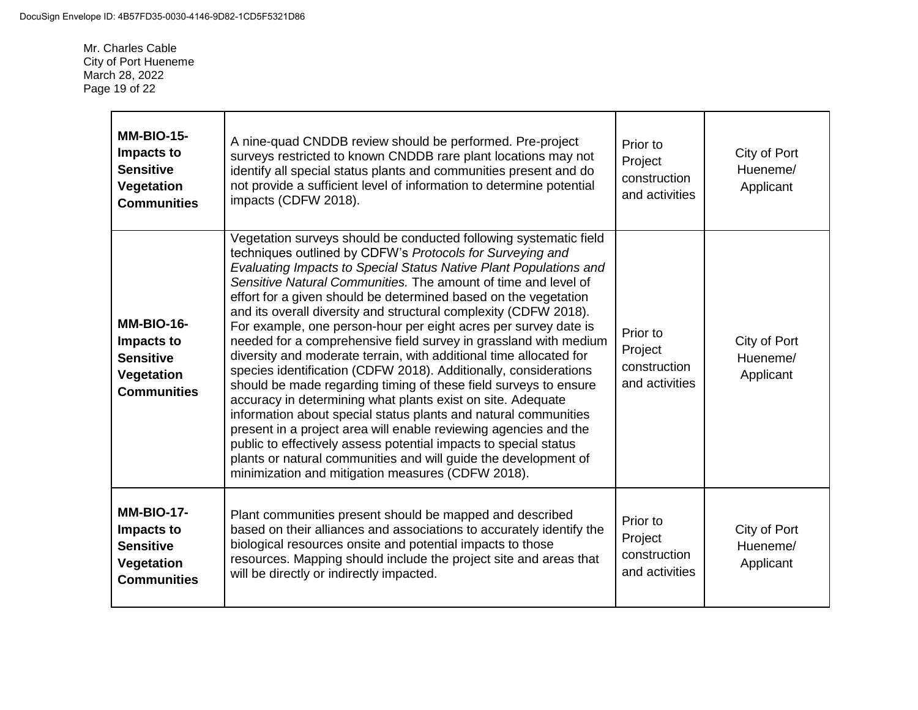Mr. Charles Cable City of Port Hueneme March 28, 2022 Page 19 of 22

| <b>MM-BIO-15-</b><br>Impacts to<br><b>Sensitive</b><br>Vegetation<br><b>Communities</b> | A nine-quad CNDDB review should be performed. Pre-project<br>surveys restricted to known CNDDB rare plant locations may not<br>identify all special status plants and communities present and do<br>not provide a sufficient level of information to determine potential<br>impacts (CDFW 2018).                                                                                                                                                                                                                                                                                                                                                                                                                                                                                                                                                                                                                                                                                                                                                                                                                                                                    | Prior to<br>Project<br>construction<br>and activities | City of Port<br>Hueneme/<br>Applicant |
|-----------------------------------------------------------------------------------------|---------------------------------------------------------------------------------------------------------------------------------------------------------------------------------------------------------------------------------------------------------------------------------------------------------------------------------------------------------------------------------------------------------------------------------------------------------------------------------------------------------------------------------------------------------------------------------------------------------------------------------------------------------------------------------------------------------------------------------------------------------------------------------------------------------------------------------------------------------------------------------------------------------------------------------------------------------------------------------------------------------------------------------------------------------------------------------------------------------------------------------------------------------------------|-------------------------------------------------------|---------------------------------------|
| <b>MM-BIO-16-</b><br>Impacts to<br><b>Sensitive</b><br>Vegetation<br><b>Communities</b> | Vegetation surveys should be conducted following systematic field<br>techniques outlined by CDFW's Protocols for Surveying and<br>Evaluating Impacts to Special Status Native Plant Populations and<br>Sensitive Natural Communities. The amount of time and level of<br>effort for a given should be determined based on the vegetation<br>and its overall diversity and structural complexity (CDFW 2018).<br>For example, one person-hour per eight acres per survey date is<br>needed for a comprehensive field survey in grassland with medium<br>diversity and moderate terrain, with additional time allocated for<br>species identification (CDFW 2018). Additionally, considerations<br>should be made regarding timing of these field surveys to ensure<br>accuracy in determining what plants exist on site. Adequate<br>information about special status plants and natural communities<br>present in a project area will enable reviewing agencies and the<br>public to effectively assess potential impacts to special status<br>plants or natural communities and will guide the development of<br>minimization and mitigation measures (CDFW 2018). | Prior to<br>Project<br>construction<br>and activities | City of Port<br>Hueneme/<br>Applicant |
| <b>MM-BIO-17-</b><br>Impacts to<br><b>Sensitive</b><br>Vegetation<br><b>Communities</b> | Plant communities present should be mapped and described<br>based on their alliances and associations to accurately identify the<br>biological resources onsite and potential impacts to those<br>resources. Mapping should include the project site and areas that<br>will be directly or indirectly impacted.                                                                                                                                                                                                                                                                                                                                                                                                                                                                                                                                                                                                                                                                                                                                                                                                                                                     | Prior to<br>Project<br>construction<br>and activities | City of Port<br>Hueneme/<br>Applicant |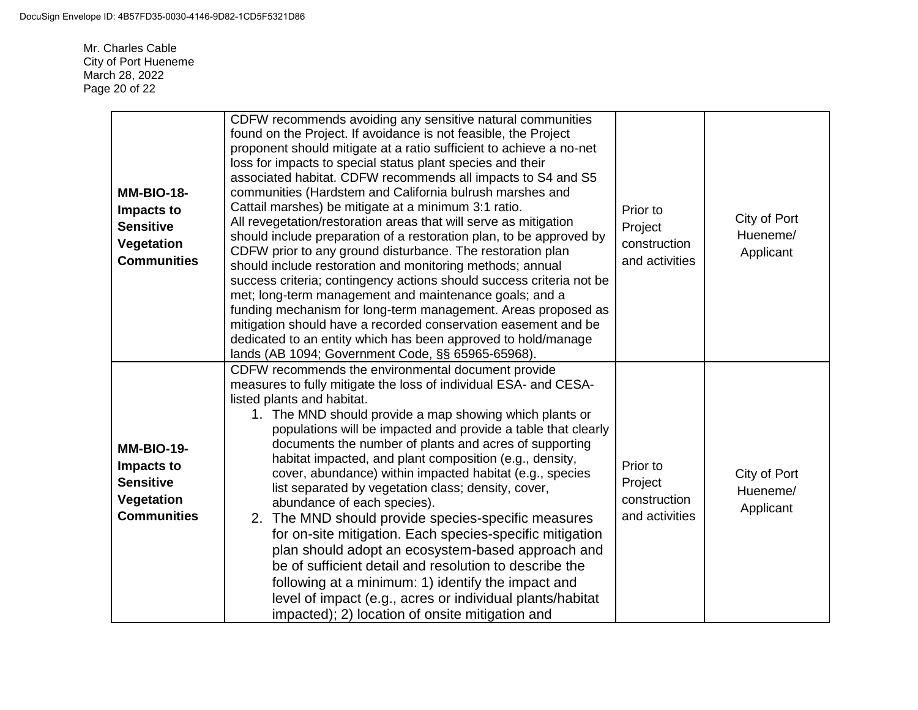Mr. Charles Cable City of Port Hueneme March 28, 2022 Page 20 of 22

| <b>MM-BIO-18-</b><br>Impacts to<br><b>Sensitive</b><br><b>Vegetation</b><br><b>Communities</b> | CDFW recommends avoiding any sensitive natural communities<br>found on the Project. If avoidance is not feasible, the Project<br>proponent should mitigate at a ratio sufficient to achieve a no-net<br>loss for impacts to special status plant species and their<br>associated habitat. CDFW recommends all impacts to S4 and S5<br>communities (Hardstem and California bulrush marshes and<br>Cattail marshes) be mitigate at a minimum 3:1 ratio.<br>All revegetation/restoration areas that will serve as mitigation<br>should include preparation of a restoration plan, to be approved by<br>CDFW prior to any ground disturbance. The restoration plan<br>should include restoration and monitoring methods; annual<br>success criteria; contingency actions should success criteria not be<br>met; long-term management and maintenance goals; and a<br>funding mechanism for long-term management. Areas proposed as<br>mitigation should have a recorded conservation easement and be<br>dedicated to an entity which has been approved to hold/manage<br>lands (AB 1094; Government Code, §§ 65965-65968). | Prior to<br>Project<br>construction<br>and activities | City of Port<br>Hueneme/<br>Applicant |
|------------------------------------------------------------------------------------------------|-------------------------------------------------------------------------------------------------------------------------------------------------------------------------------------------------------------------------------------------------------------------------------------------------------------------------------------------------------------------------------------------------------------------------------------------------------------------------------------------------------------------------------------------------------------------------------------------------------------------------------------------------------------------------------------------------------------------------------------------------------------------------------------------------------------------------------------------------------------------------------------------------------------------------------------------------------------------------------------------------------------------------------------------------------------------------------------------------------------------------|-------------------------------------------------------|---------------------------------------|
| <b>MM-BIO-19-</b><br>Impacts to<br><b>Sensitive</b><br><b>Vegetation</b><br><b>Communities</b> | CDFW recommends the environmental document provide<br>measures to fully mitigate the loss of individual ESA- and CESA-<br>listed plants and habitat.<br>1. The MND should provide a map showing which plants or<br>populations will be impacted and provide a table that clearly<br>documents the number of plants and acres of supporting<br>habitat impacted, and plant composition (e.g., density,<br>cover, abundance) within impacted habitat (e.g., species<br>list separated by vegetation class; density, cover,<br>abundance of each species).<br>2. The MND should provide species-specific measures<br>for on-site mitigation. Each species-specific mitigation<br>plan should adopt an ecosystem-based approach and<br>be of sufficient detail and resolution to describe the<br>following at a minimum: 1) identify the impact and<br>level of impact (e.g., acres or individual plants/habitat<br>impacted); 2) location of onsite mitigation and                                                                                                                                                         | Prior to<br>Project<br>construction<br>and activities | City of Port<br>Hueneme/<br>Applicant |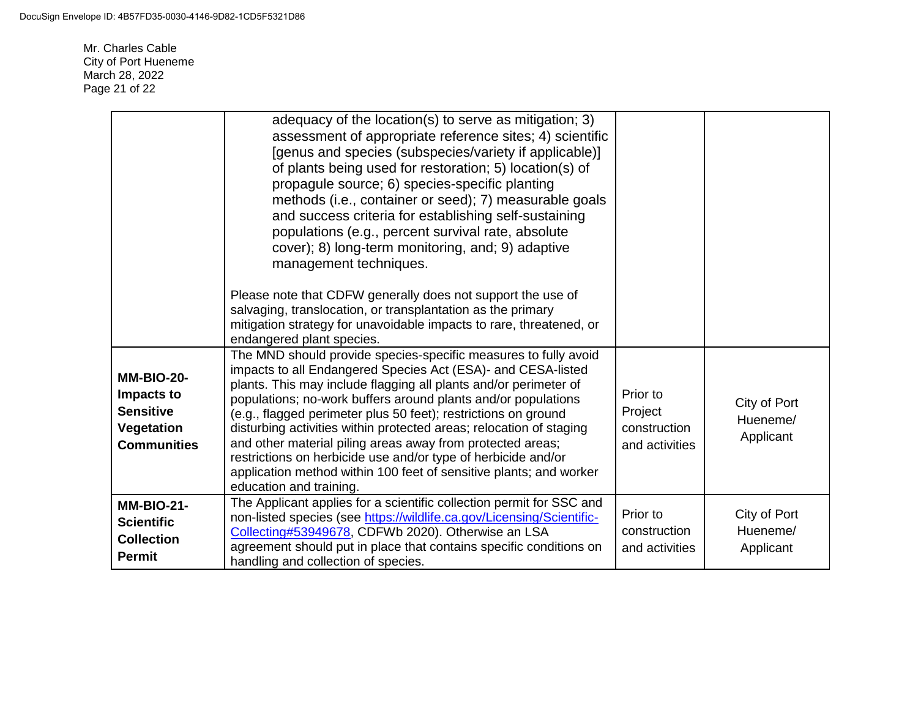Mr. Charles Cable City of Port Hueneme March 28, 2022 Page 21 of 22

|                                                                                         | adequacy of the location(s) to serve as mitigation; 3)<br>assessment of appropriate reference sites; 4) scientific<br>[genus and species (subspecies/variety if applicable)]<br>of plants being used for restoration; 5) location(s) of<br>propagule source; 6) species-specific planting<br>methods (i.e., container or seed); 7) measurable goals<br>and success criteria for establishing self-sustaining<br>populations (e.g., percent survival rate, absolute<br>cover); 8) long-term monitoring, and; 9) adaptive<br>management techniques.<br>Please note that CDFW generally does not support the use of<br>salvaging, translocation, or transplantation as the primary<br>mitigation strategy for unavoidable impacts to rare, threatened, or<br>endangered plant species.<br>The MND should provide species-specific measures to fully avoid |                                                       |                                       |
|-----------------------------------------------------------------------------------------|--------------------------------------------------------------------------------------------------------------------------------------------------------------------------------------------------------------------------------------------------------------------------------------------------------------------------------------------------------------------------------------------------------------------------------------------------------------------------------------------------------------------------------------------------------------------------------------------------------------------------------------------------------------------------------------------------------------------------------------------------------------------------------------------------------------------------------------------------------|-------------------------------------------------------|---------------------------------------|
| <b>MM-BIO-20-</b><br>Impacts to<br><b>Sensitive</b><br>Vegetation<br><b>Communities</b> | impacts to all Endangered Species Act (ESA)- and CESA-listed<br>plants. This may include flagging all plants and/or perimeter of<br>populations; no-work buffers around plants and/or populations<br>(e.g., flagged perimeter plus 50 feet); restrictions on ground<br>disturbing activities within protected areas; relocation of staging<br>and other material piling areas away from protected areas;<br>restrictions on herbicide use and/or type of herbicide and/or<br>application method within 100 feet of sensitive plants; and worker<br>education and training.                                                                                                                                                                                                                                                                             | Prior to<br>Project<br>construction<br>and activities | City of Port<br>Hueneme/<br>Applicant |
| <b>MM-BIO-21-</b><br><b>Scientific</b><br><b>Collection</b><br><b>Permit</b>            | The Applicant applies for a scientific collection permit for SSC and<br>non-listed species (see https://wildlife.ca.gov/Licensing/Scientific-<br>Collecting#53949678, CDFWb 2020). Otherwise an LSA<br>agreement should put in place that contains specific conditions on<br>handling and collection of species.                                                                                                                                                                                                                                                                                                                                                                                                                                                                                                                                       | Prior to<br>construction<br>and activities            | City of Port<br>Hueneme/<br>Applicant |